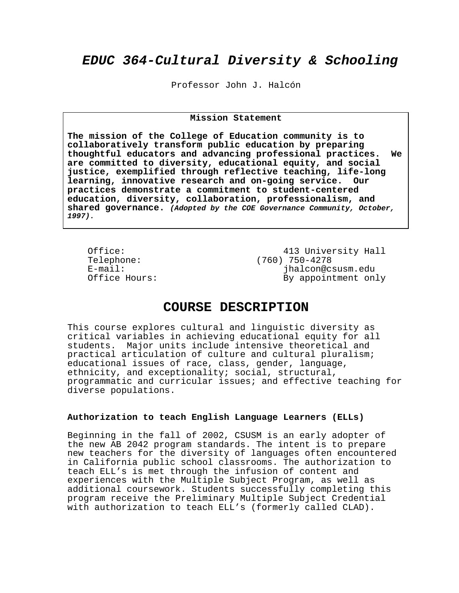# **EDUC 364-Cultural Diversity & Schooling**

Professor John J. Halcón

### **Mission Statement**

**The mission of the College of Education community is to collaboratively transform public education by preparing thoughtful educators and advancing professional practices. We are committed to diversity, educational equity, and social justice, exemplified through reflective teaching, life-long learning, innovative research and on-going service. Our practices demonstrate a commitment to student-centered education, diversity, collaboration, professionalism, and shared governance. (Adopted by the COE Governance Community, October, 1997).** 

Office: 413 University Hall<br>Telephone: (760) 750-4278 Telephone: (760) 750-4278<br>E-mail: ihalcon@c E-mail: jhalcon@csusm.edu By appointment only

### **COURSE DESCRIPTION**

This course explores cultural and linguistic diversity as critical variables in achieving educational equity for all students. Major units include intensive theoretical and practical articulation of culture and cultural pluralism; educational issues of race, class, gender, language, ethnicity, and exceptionality; social, structural, programmatic and curricular issues; and effective teaching for diverse populations.

### **Authorization to teach English Language Learners (ELLs)**

Beginning in the fall of 2002, CSUSM is an early adopter of the new AB 2042 program standards. The intent is to prepare new teachers for the diversity of languages often encountered in California public school classrooms. The authorization to teach ELL's is met through the infusion of content and experiences with the Multiple Subject Program, as well as additional coursework. Students successfully completing this program receive the Preliminary Multiple Subject Credential with authorization to teach ELL's (formerly called CLAD).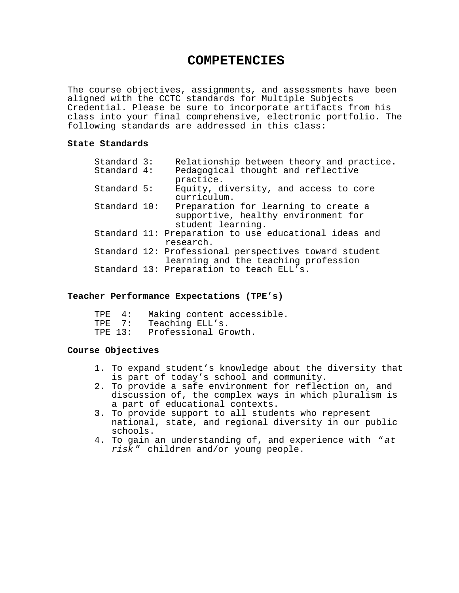## **COMPETENCIES**

The course objectives, assignments, and assessments have been aligned with the CCTC standards for Multiple Subjects Credential. Please be sure to incorporate artifacts from his class into your final comprehensive, electronic portfolio. The following standards are addressed in this class:

### **State Standards**

| Standard 3:  | Relationship between theory and practice.             |
|--------------|-------------------------------------------------------|
| Standard 4:  | Pedagogical thought and reflective                    |
|              | practice.                                             |
| Standard 5:  | Equity, diversity, and access to core                 |
|              | curriculum.                                           |
| Standard 10: | Preparation for learning to create a                  |
|              | supportive, healthy environment for                   |
|              | student learning.                                     |
|              | Standard 11: Preparation to use educational ideas and |
|              | research.                                             |
|              | Standard 12: Professional perspectives toward student |
|              | learning and the teaching profession                  |
|              | Standard 13: Preparation to teach ELL's.              |

### **Teacher Performance Expectations (TPE's)**

| TPE 4:  | Making content accessible. |
|---------|----------------------------|
| TPF 7:  | Teaching ELL's.            |
| TPE 13: | Professional Growth.       |

### **Course Objectives**

- 1. To expand student's knowledge about the diversity that is part of today's school and community.
- 2. To provide a safe environment for reflection on, and discussion of, the complex ways in which pluralism is a part of educational contexts.
- 3. To provide support to all students who represent national, state, and regional diversity in our public schools.
- 4. To gain an understanding of, and experience with "at risk " children and/or young people.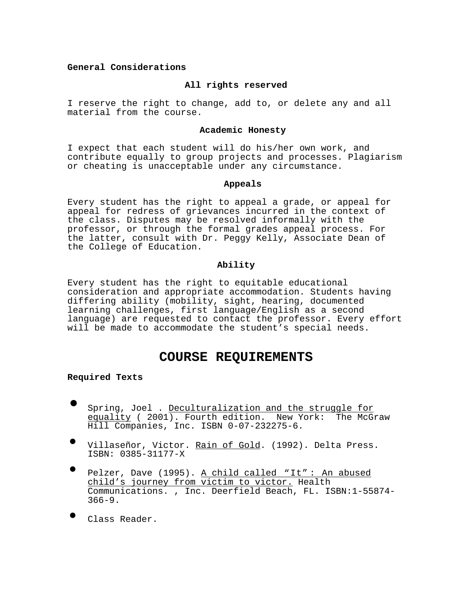### **General Considerations**

### **All rights reserved**

I reserve the right to change, add to, or delete any and all material from the course.

#### **Academic Honesty**

I expect that each student will do his/her own work, and contribute equally to group projects and processes. Plagiarism or cheating is unacceptable under any circumstance.

### **Appeals**

Every student has the right to appeal a grade, or appeal for appeal for redress of grievances incurred in the context of the class. Disputes may be resolved informally with the professor, or through the formal grades appeal process. For the latter, consult with Dr. Peggy Kelly, Associate Dean of the College of Education.

### **Ability**

Every student has the right to equitable educational consideration and appropriate accommodation. Students having differing ability (mobility, sight, hearing, documented learning challenges, first language/English as a second language) are requested to contact the professor. Every effort will be made to accommodate the student's special needs.

### **COURSE REQUIREMENTS**

#### **Required Texts**

- Spring, Joel . Deculturalization and the struggle for equality ( 2001). Fourth edition. New York: The McGraw Hill Companies, Inc. ISBN 0-07-232275-6.
- Villaseñor, Victor. Rain of Gold. (1992). Delta Press. ISBN: 0385-31177-X
- Pelzer, Dave (1995). A child called "It": An abused child's journey from victim to victor. Health Communications. , Inc. Deerfield Beach, FL. ISBN:1-55874- 366-9.
- Class Reader.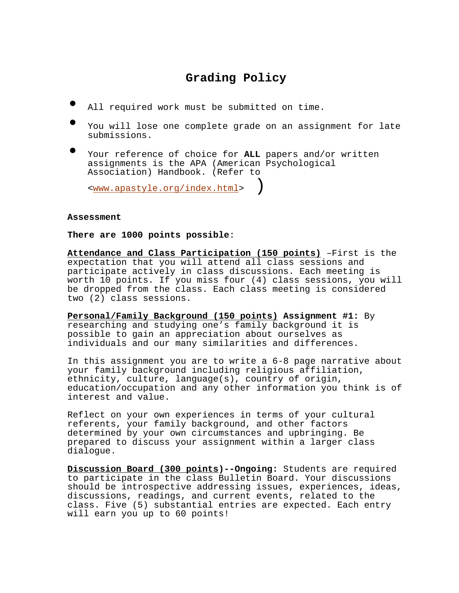# **Grading Policy**

- All required work must be submitted on time.
- You will lose one complete grade on an assignment for late submissions.
- Your reference of choice for **ALL** papers and/or written assignments is the APA (American Psychological Association) Handbook. (Refer to

<www.apastyle.org/index.html> )

#### **Assessment**

**There are 1000 points possible**:

**Attendance and Class Participation (150 points)** –First is the expectation that you will attend all class sessions and participate actively in class discussions. Each meeting is worth 10 points. If you miss four (4) class sessions, you will be dropped from the class. Each class meeting is considered two (2) class sessions.

**Personal/Family Background (150 points) Assignment #1:** By researching and studying one's family background it is possible to gain an appreciation about ourselves as individuals and our many similarities and differences.

In this assignment you are to write a 6-8 page narrative about your family background including religious affiliation, ethnicity, culture, language(s), country of origin, education/occupation and any other information you think is of interest and value.

Reflect on your own experiences in terms of your cultural referents, your family background, and other factors determined by your own circumstances and upbringing. Be prepared to discuss your assignment within a larger class dialogue.

**Discussion Board (300 points)--Ongoing:** Students are required to participate in the class Bulletin Board. Your discussions should be introspective addressing issues, experiences, ideas, discussions, readings, and current events, related to the class. Five (5) substantial entries are expected. Each entry will earn you up to 60 points!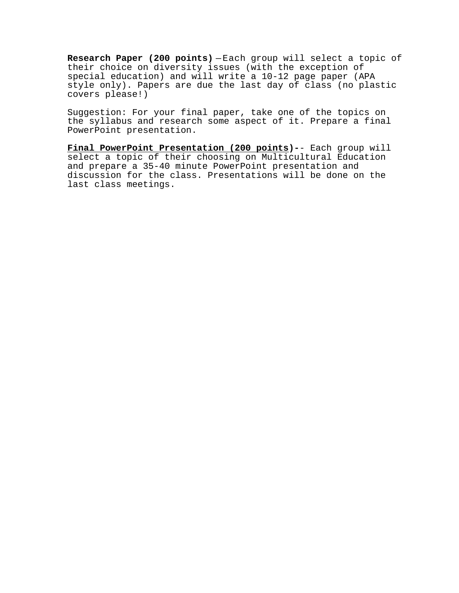**Research Paper (200 points)** — Each group will select a topic of their choice on diversity issues (with the exception of special education) and will write a 10-12 page paper (APA style only). Papers are due the last day of class (no plastic covers please!)

Suggestion: For your final paper, take one of the topics on the syllabus and research some aspect of it. Prepare a final PowerPoint presentation.

**Final PowerPoint Presentation (200 points)-**- Each group will select a topic of their choosing on Multicultural Education and prepare a 35-40 minute PowerPoint presentation and discussion for the class. Presentations will be done on the last class meetings.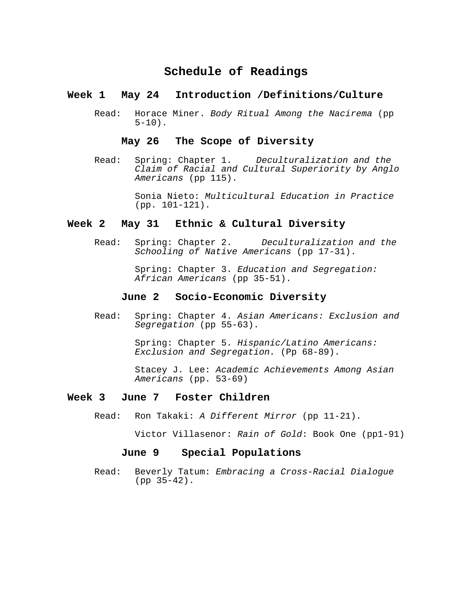## **Schedule of Readings**

### **Week 1 May 24 Introduction /Definitions/Culture**

Read: Horace Miner. Body Ritual Among the Nacirema (pp  $5-10$ ).

### **May 26 The Scope of Diversity**

Read: Spring: Chapter 1. Deculturalization and the Claim of Racial and Cultural Superiority by Anglo Americans (pp 115).

> Sonia Nieto: Multicultural Education in Practice (pp. 101-121).

### **Week 2 May 31 Ethnic & Cultural Diversity**

Read: Spring: Chapter 2. Deculturalization and the Schooling of Native Americans (pp 17-31).

> Spring: Chapter 3. Education and Segregation: African Americans (pp 35-51).

### **June 2 Socio-Economic Diversity**

Read: Spring: Chapter 4. Asian Americans: Exclusion and Segregation (pp 55-63).

> Spring: Chapter 5. Hispanic/Latino Americans: Exclusion and Segregation. (Pp 68-89).

 Stacey J. Lee: Academic Achievements Among Asian Americans (pp. 53-69)

### **Week 3 June 7 Foster Children**

Read: Ron Takaki: A Different Mirror (pp 11-21).

Victor Villasenor: Rain of Gold: Book One (pp1-91)

### **June 9 Special Populations**

Read: Beverly Tatum: Embracing a Cross-Racial Dialogue (pp 35-42).